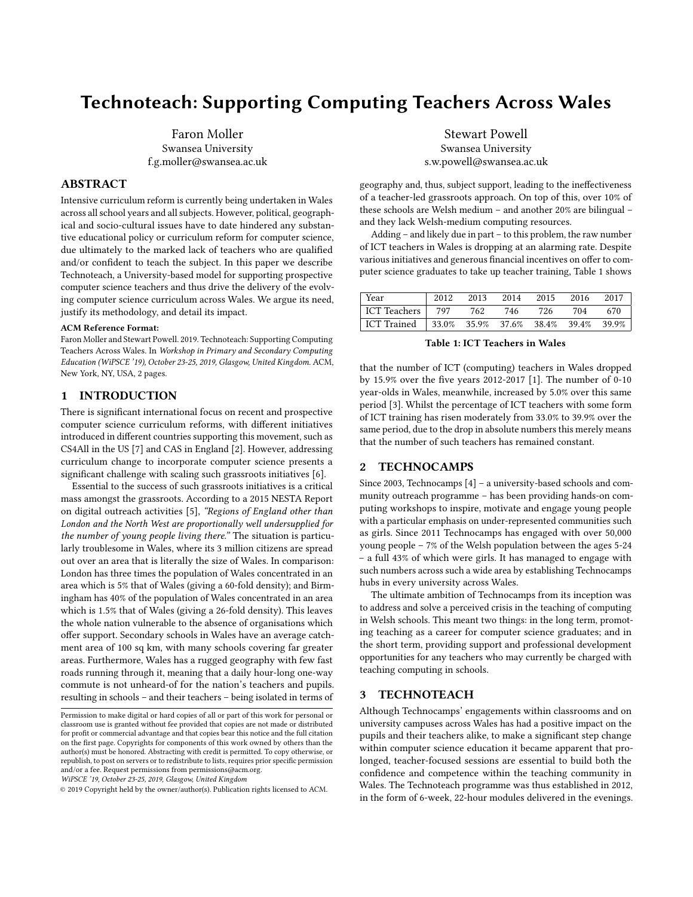# Technoteach: Supporting Computing Teachers Across Wales

Faron Moller Swansea University f.g.moller@swansea.ac.uk

# ABSTRACT

Intensive curriculum reform is currently being undertaken in Wales across all school years and all subjects. However, political, geographical and socio-cultural issues have to date hindered any substantive educational policy or curriculum reform for computer science, due ultimately to the marked lack of teachers who are qualified and/or confident to teach the subject. In this paper we describe Technoteach, a University-based model for supporting prospective computer science teachers and thus drive the delivery of the evolving computer science curriculum across Wales. We argue its need, justify its methodology, and detail its impact.

#### ACM Reference Format:

Faron Moller and Stewart Powell. 2019. Technoteach: Supporting Computing Teachers Across Wales. In Workshop in Primary and Secondary Computing Education (WiPSCE '19), October 23-25, 2019, Glasgow, United Kingdom. ACM, New York, NY, USA, [2](#page-1-0) pages.

#### 1 INTRODUCTION

There is significant international focus on recent and prospective computer science curriculum reforms, with different initiatives introduced in different countries supporting this movement, such as CS4All in the US [\[7\]](#page-1-1) and CAS in England [\[2\]](#page-1-2). However, addressing curriculum change to incorporate computer science presents a significant challenge with scaling such grassroots initiatives [\[6\]](#page-1-3).

Essential to the success of such grassroots initiatives is a critical mass amongst the grassroots. According to a 2015 NESTA Report on digital outreach activities [\[5\]](#page-1-4), "Regions of England other than London and the North West are proportionally well undersupplied for the number of young people living there." The situation is particularly troublesome in Wales, where its 3 million citizens are spread out over an area that is literally the size of Wales. In comparison: London has three times the population of Wales concentrated in an area which is 5% that of Wales (giving a 60-fold density); and Birmingham has 40% of the population of Wales concentrated in an area which is 1.5% that of Wales (giving a 26-fold density). This leaves the whole nation vulnerable to the absence of organisations which offer support. Secondary schools in Wales have an average catchment area of 100 sq km, with many schools covering far greater areas. Furthermore, Wales has a rugged geography with few fast roads running through it, meaning that a daily hour-long one-way commute is not unheard-of for the nation's teachers and pupils. resulting in schools – and their teachers – being isolated in terms of

Stewart Powell Swansea University s.w.powell@swansea.ac.uk

geography and, thus, subject support, leading to the ineffectiveness of a teacher-led grassroots approach. On top of this, over 10% of these schools are Welsh medium – and another 20% are bilingual – and they lack Welsh-medium computing resources.

Adding – and likely due in part – to this problem, the raw number of ICT teachers in Wales is dropping at an alarming rate. Despite various initiatives and generous financial incentives on offer to computer science graduates to take up teacher training, Table [1](#page-0-0) shows

<span id="page-0-0"></span>

| Year         | 2012   | 2013              | 2014 | 2015 | 2016  | 2017  |
|--------------|--------|-------------------|------|------|-------|-------|
| ICT Teachers | 797    | 762               | 746  | 726  | 704   | 670   |
| ICT Trained  | 133.0% | 35.9% 37.6% 38.4% |      |      | 39.4% | 39.9% |

Table 1: ICT Teachers in Wales

that the number of ICT (computing) teachers in Wales dropped by 15.9% over the five years 2012-2017 [\[1\]](#page-1-5). The number of 0-10 year-olds in Wales, meanwhile, increased by 5.0% over this same period [\[3\]](#page-1-6). Whilst the percentage of ICT teachers with some form of ICT training has risen moderately from 33.0% to 39.9% over the same period, due to the drop in absolute numbers this merely means that the number of such teachers has remained constant.

#### 2 TECHNOCAMPS

Since 2003, Technocamps [\[4\]](#page-1-7) – a university-based schools and community outreach programme – has been providing hands-on computing workshops to inspire, motivate and engage young people with a particular emphasis on under-represented communities such as girls. Since 2011 Technocamps has engaged with over 50,000 young people – 7% of the Welsh population between the ages 5-24 – a full 43% of which were girls. It has managed to engage with such numbers across such a wide area by establishing Technocamps hubs in every university across Wales.

The ultimate ambition of Technocamps from its inception was to address and solve a perceived crisis in the teaching of computing in Welsh schools. This meant two things: in the long term, promoting teaching as a career for computer science graduates; and in the short term, providing support and professional development opportunities for any teachers who may currently be charged with teaching computing in schools.

### 3 TECHNOTEACH

Although Technocamps' engagements within classrooms and on university campuses across Wales has had a positive impact on the pupils and their teachers alike, to make a significant step change within computer science education it became apparent that prolonged, teacher-focused sessions are essential to build both the confidence and competence within the teaching community in Wales. The Technoteach programme was thus established in 2012, in the form of 6-week, 22-hour modules delivered in the evenings.

Permission to make digital or hard copies of all or part of this work for personal or classroom use is granted without fee provided that copies are not made or distributed for profit or commercial advantage and that copies bear this notice and the full citation on the first page. Copyrights for components of this work owned by others than the author(s) must be honored. Abstracting with credit is permitted. To copy otherwise, or republish, to post on servers or to redistribute to lists, requires prior specific permission and/or a fee. Request permissions from permissions@acm.org.

WiPSCE '19, October 23-25, 2019, Glasgow, United Kingdom

<sup>©</sup> 2019 Copyright held by the owner/author(s). Publication rights licensed to ACM.